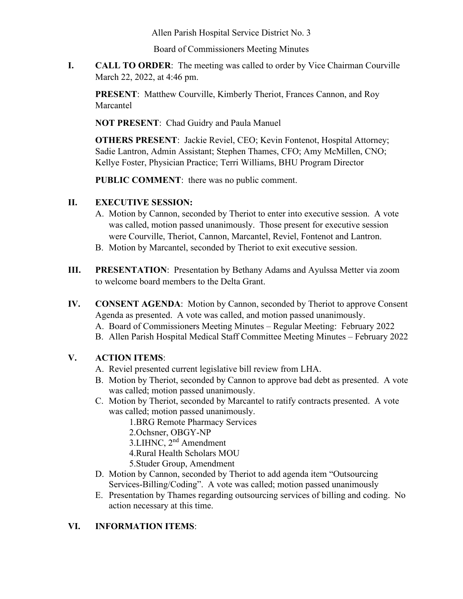Allen Parish Hospital Service District No. 3

Board of Commissioners Meeting Minutes

**I. CALL TO ORDER**: The meeting was called to order by Vice Chairman Courville March 22, 2022, at 4:46 pm.

**PRESENT**: Matthew Courville, Kimberly Theriot, Frances Cannon, and Roy Marcantel

**NOT PRESENT**: Chad Guidry and Paula Manuel

**OTHERS PRESENT**: Jackie Reviel, CEO; Kevin Fontenot, Hospital Attorney; Sadie Lantron, Admin Assistant; Stephen Thames, CFO; Amy McMillen, CNO; Kellye Foster, Physician Practice; Terri Williams, BHU Program Director

**PUBLIC COMMENT**: there was no public comment.

## **II. EXECUTIVE SESSION:**

- A. Motion by Cannon, seconded by Theriot to enter into executive session. A vote was called, motion passed unanimously. Those present for executive session were Courville, Theriot, Cannon, Marcantel, Reviel, Fontenot and Lantron.
- B. Motion by Marcantel, seconded by Theriot to exit executive session.
- **III. PRESENTATION**: Presentation by Bethany Adams and Ayulssa Metter via zoom to welcome board members to the Delta Grant.
- **IV. CONSENT AGENDA**: Motion by Cannon, seconded by Theriot to approve Consent Agenda as presented. A vote was called, and motion passed unanimously.
	- A. Board of Commissioners Meeting Minutes Regular Meeting: February 2022
	- B. Allen Parish Hospital Medical Staff Committee Meeting Minutes February 2022

## **V. ACTION ITEMS**:

- A. Reviel presented current legislative bill review from LHA.
- B. Motion by Theriot, seconded by Cannon to approve bad debt as presented. A vote was called; motion passed unanimously.
- C. Motion by Theriot, seconded by Marcantel to ratify contracts presented. A vote was called; motion passed unanimously.

1.BRG Remote Pharmacy Services

- 2.Ochsner, OBGY-NP
- 3.LIHNC, 2nd Amendment
- 4.Rural Health Scholars MOU
- 5.Studer Group, Amendment
- D. Motion by Cannon, seconded by Theriot to add agenda item "Outsourcing Services-Billing/Coding". A vote was called; motion passed unanimously
- E. Presentation by Thames regarding outsourcing services of billing and coding. No action necessary at this time.

## **VI. INFORMATION ITEMS**: